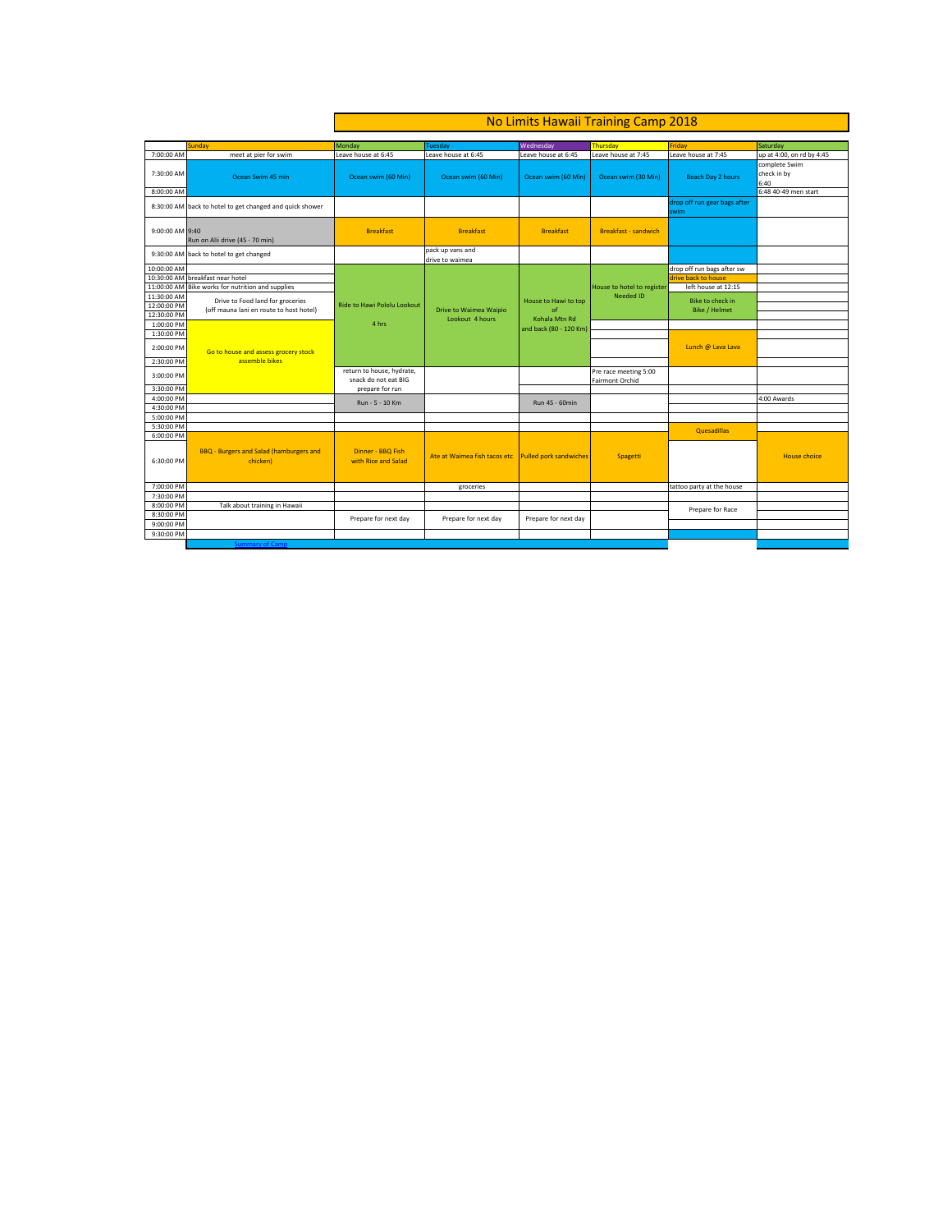|                          |                                                | No Limits Hawaii Training Camp 2018 |                                                     |                        |                             |                              |                                       |
|--------------------------|------------------------------------------------|-------------------------------------|-----------------------------------------------------|------------------------|-----------------------------|------------------------------|---------------------------------------|
|                          |                                                |                                     |                                                     |                        |                             |                              |                                       |
|                          |                                                |                                     |                                                     | Wednesday              | <b>Thursday</b>             | Friday                       |                                       |
| 7:00:00 AM               | Sunday<br>meet at pier for swim                | Monday<br>Leave house at 6:45       | Tuesday<br>Leave house at 6:45                      | Leave house at 6:45    | Leave house at 7:45         | Leave house at 7:45          | Saturday<br>up at 4:00, on rd by 4:45 |
|                          |                                                |                                     |                                                     |                        |                             |                              | complete Swim                         |
| 7:30:00 AM               |                                                |                                     |                                                     |                        |                             |                              | check in by                           |
|                          | Ocean Swim 45 min                              | Ocean swim (60 Min)                 | Ocean swim (60 Min)                                 | Ocean swim (60 Min)    | Ocean swim (30 Min)         | Beach Day 2 hours            | 6:40                                  |
| 8:00:00 AM               |                                                |                                     |                                                     |                        |                             |                              | 6:48 40-49 men start                  |
|                          |                                                |                                     |                                                     |                        |                             | drop off run gear bags after |                                       |
| 8:30:00 AM               | back to hotel to get changed and quick shower  |                                     |                                                     |                        |                             | swim                         |                                       |
|                          |                                                |                                     |                                                     |                        |                             |                              |                                       |
| 9:00:00 AM 9:40          |                                                | <b>Breakfast</b>                    | <b>Breakfast</b>                                    | <b>Breakfast</b>       | <b>Breakfast - sandwich</b> |                              |                                       |
|                          | Run on Alii drive (45 - 70 min)                |                                     |                                                     |                        |                             |                              |                                       |
|                          | 9:30:00 AM back to hotel to get changed        |                                     | pack up vans and                                    |                        |                             |                              |                                       |
|                          |                                                |                                     | drive to waimea                                     |                        |                             |                              |                                       |
| 10:00:00 AM              |                                                |                                     |                                                     |                        |                             | drop off run bags after sw   |                                       |
|                          | 10:30:00 AM breakfast near hotel               |                                     |                                                     |                        |                             | drive back to house          |                                       |
| 11:00:00 AM              | Bike works for nutrition and supplies          |                                     |                                                     |                        | House to hotel to register  | left house at 12:15          |                                       |
| 11:30:00 AM              | Drive to Food land for groceries               |                                     |                                                     | House to Hawi to top   | <b>Needed ID</b>            | <b>Bike to check in</b>      |                                       |
| 12:00:00 PM              | (off mauna lani en route to host hotel)        | <b>Ride to Hawi Pololu Lookout</b>  | Drive to Waimea Waipio                              | of                     |                             | <b>Bike / Helmet</b>         |                                       |
| 12:30:00 PM              |                                                | 4 hrs                               | Lookout 4 hours                                     | Kohala Mtn Rd          |                             |                              |                                       |
| 1:00:00 PM<br>1:30:00 PM |                                                |                                     |                                                     | and back (80 - 120 Km) |                             |                              |                                       |
|                          |                                                |                                     |                                                     |                        |                             |                              |                                       |
| 2:00:00 PM               | Go to house and assess grocery stock           |                                     |                                                     |                        |                             | Lunch @ Lava Lava            |                                       |
| 2:30:00 PM               | assemble bikes                                 |                                     |                                                     |                        |                             |                              |                                       |
|                          |                                                | return to house, hydrate,           |                                                     |                        | Pre race meeting 5:00       |                              |                                       |
| 3:00:00 PM               |                                                | snack do not eat BIG                |                                                     |                        | Fairmont Orchid             |                              |                                       |
| 3:30:00 PM               |                                                | prepare for run                     |                                                     |                        |                             |                              |                                       |
| 4:00:00 PM               |                                                | Run - 5 - 10 Km                     |                                                     | Run 45 - 60min         |                             |                              | 4:00 Awards                           |
| 4:30:00 PM               |                                                |                                     |                                                     |                        |                             |                              |                                       |
| 5:00:00 PM               |                                                |                                     |                                                     |                        |                             |                              |                                       |
| 5:30:00 PM               |                                                |                                     |                                                     |                        |                             | Quesadillas                  |                                       |
| 6:00:00 PM               |                                                |                                     |                                                     |                        |                             |                              |                                       |
|                          | <b>BBQ - Burgers and Salad (hamburgers and</b> | Dinner - BBQ Fish                   |                                                     |                        |                             |                              |                                       |
| 6:30:00 PM               | chicken)                                       | with Rice and Salad                 | Ate at Waimea fish tacos etc Pulled pork sandwiches |                        | Spagetti                    |                              | <b>House choice</b>                   |
|                          |                                                |                                     |                                                     |                        |                             |                              |                                       |
|                          |                                                |                                     |                                                     |                        |                             |                              |                                       |
| 7:00:00 PM               |                                                |                                     | groceries                                           |                        |                             | tattoo party at the house    |                                       |
| 7:30:00 PM               |                                                |                                     |                                                     |                        |                             |                              |                                       |
| 8:00:00 PM               | Talk about training in Hawaii                  |                                     |                                                     |                        |                             | Prepare for Race             |                                       |
| 8:30:00 PM               |                                                | Prepare for next day                | Prepare for next day                                | Prepare for next day   |                             |                              |                                       |
| 9:00:00 PM               |                                                |                                     |                                                     |                        |                             |                              |                                       |
| 9:30:00 PM               |                                                |                                     |                                                     |                        |                             |                              |                                       |
|                          |                                                |                                     |                                                     |                        |                             |                              |                                       |